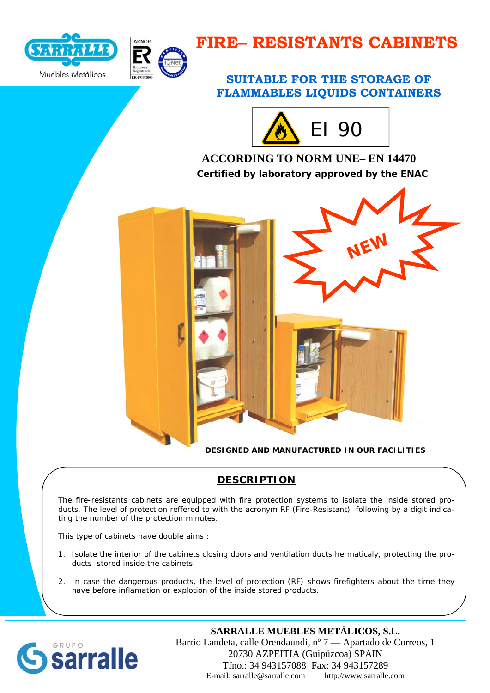



# **FIRE– RESISTANTS CABINETS**

## **SUITABLE FOR THE STORAGE OF FLAMMABLES LIQUIDS CONTAINERS**



# **ACCORDING TO NORM UNE– EN 14470 Certified by laboratory approved by the ENAC**



**DESIGNED AND MANUFACTURED IN OUR FACILITIES** 

## **DESCRIPTION**

The fire-resistants cabinets are equipped with fire protection systems to isolate the inside stored products. The level of protection reffered to with the acronym RF (Fire-Resistant) following by a digit indicating the number of the protection minutes.

This type of cabinets have double aims :

- 1. Isolate the interior of the cabinets closing doors and ventilation ducts hermaticaly, protecting the products stored inside the cabinets.
- 2. In case the dangerous products, the level of protection (RF) shows firefighters about the time they have before inflamation or explotion of the inside stored products.



### **SARRALLE MUEBLES METÁLICOS, S.L.**

Barrio Landeta, calle Orendaundi, nº 7 — Apartado de Correos, 1 20730 AZPEITIA (Guipúzcoa) SPAIN Tfno.: 34 943157088 Fax: 34 943157289 E-mail: sarralle@sarralle.com http://www.sarralle.com